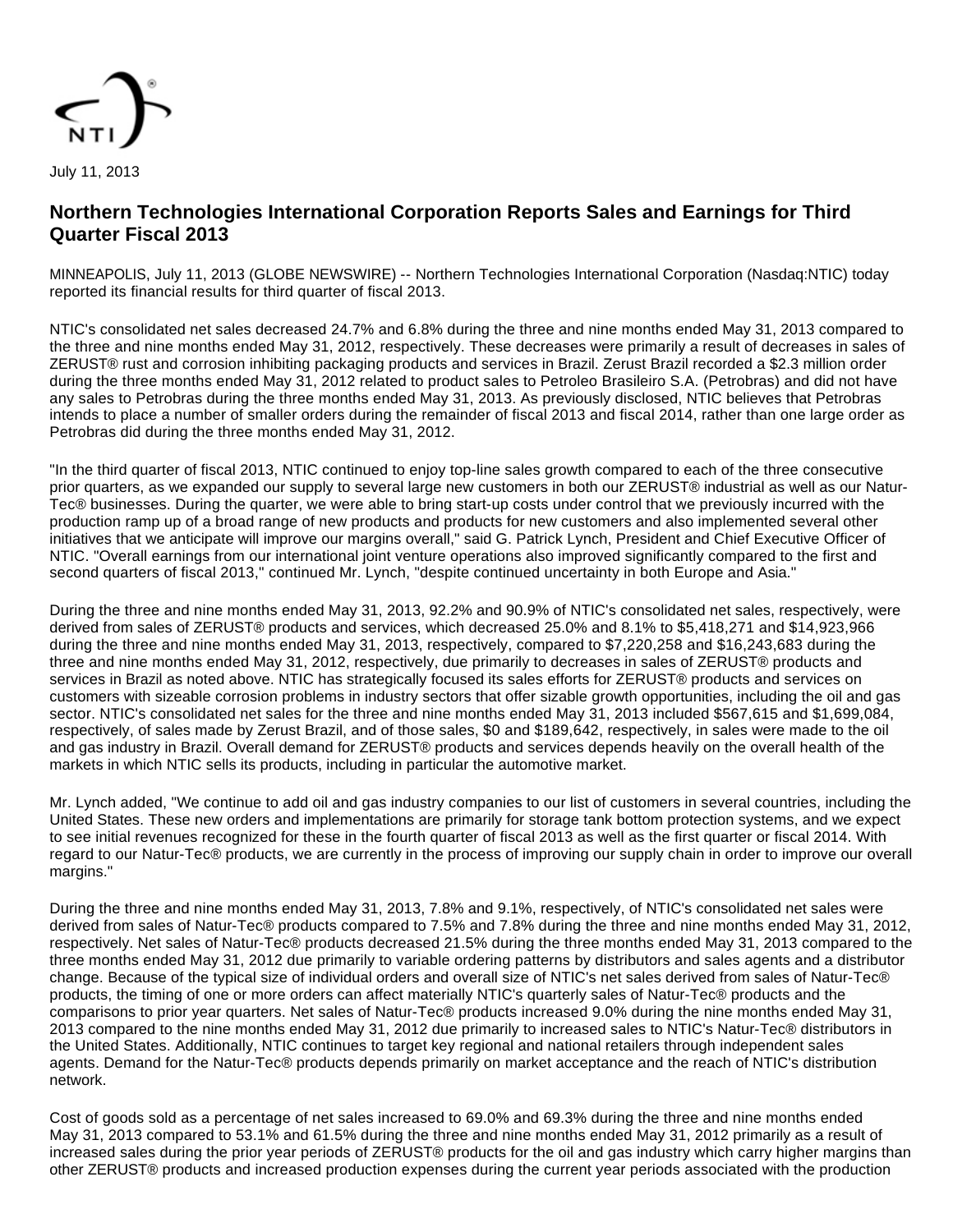

**Northern Technologies International Corporation Reports Sales and Earnings for Third Quarter Fiscal 2013**

MINNEAPOLIS, July 11, 2013 (GLOBE NEWSWIRE) -- Northern Technologies International Corporation (Nasdaq:NTIC) today reported its financial results for third quarter of fiscal 2013.

NTIC's consolidated net sales decreased 24.7% and 6.8% during the three and nine months ended May 31, 2013 compared to the three and nine months ended May 31, 2012, respectively. These decreases were primarily a result of decreases in sales of ZERUST® rust and corrosion inhibiting packaging products and services in Brazil. Zerust Brazil recorded a \$2.3 million order during the three months ended May 31, 2012 related to product sales to Petroleo Brasileiro S.A. (Petrobras) and did not have any sales to Petrobras during the three months ended May 31, 2013. As previously disclosed, NTIC believes that Petrobras intends to place a number of smaller orders during the remainder of fiscal 2013 and fiscal 2014, rather than one large order as Petrobras did during the three months ended May 31, 2012.

"In the third quarter of fiscal 2013, NTIC continued to enjoy top-line sales growth compared to each of the three consecutive prior quarters, as we expanded our supply to several large new customers in both our ZERUST® industrial as well as our Natur-Tec® businesses. During the quarter, we were able to bring start-up costs under control that we previously incurred with the production ramp up of a broad range of new products and products for new customers and also implemented several other initiatives that we anticipate will improve our margins overall," said G. Patrick Lynch, President and Chief Executive Officer of NTIC. "Overall earnings from our international joint venture operations also improved significantly compared to the first and second quarters of fiscal 2013," continued Mr. Lynch, "despite continued uncertainty in both Europe and Asia."

During the three and nine months ended May 31, 2013, 92.2% and 90.9% of NTIC's consolidated net sales, respectively, were derived from sales of ZERUST® products and services, which decreased 25.0% and 8.1% to \$5,418,271 and \$14,923,966 during the three and nine months ended May 31, 2013, respectively, compared to \$7,220,258 and \$16,243,683 during the three and nine months ended May 31, 2012, respectively, due primarily to decreases in sales of ZERUST® products and services in Brazil as noted above. NTIC has strategically focused its sales efforts for ZERUST® products and services on customers with sizeable corrosion problems in industry sectors that offer sizable growth opportunities, including the oil and gas sector. NTIC's consolidated net sales for the three and nine months ended May 31, 2013 included \$567,615 and \$1,699,084, respectively, of sales made by Zerust Brazil, and of those sales, \$0 and \$189,642, respectively, in sales were made to the oil and gas industry in Brazil. Overall demand for ZERUST® products and services depends heavily on the overall health of the markets in which NTIC sells its products, including in particular the automotive market.

Mr. Lynch added, "We continue to add oil and gas industry companies to our list of customers in several countries, including the United States. These new orders and implementations are primarily for storage tank bottom protection systems, and we expect to see initial revenues recognized for these in the fourth quarter of fiscal 2013 as well as the first quarter or fiscal 2014. With regard to our Natur-Tec® products, we are currently in the process of improving our supply chain in order to improve our overall margins."

During the three and nine months ended May 31, 2013, 7.8% and 9.1%, respectively, of NTIC's consolidated net sales were derived from sales of Natur-Tec® products compared to 7.5% and 7.8% during the three and nine months ended May 31, 2012, respectively. Net sales of Natur-Tec® products decreased 21.5% during the three months ended May 31, 2013 compared to the three months ended May 31, 2012 due primarily to variable ordering patterns by distributors and sales agents and a distributor change. Because of the typical size of individual orders and overall size of NTIC's net sales derived from sales of Natur-Tec® products, the timing of one or more orders can affect materially NTIC's quarterly sales of Natur-Tec® products and the comparisons to prior year quarters. Net sales of Natur-Tec® products increased 9.0% during the nine months ended May 31, 2013 compared to the nine months ended May 31, 2012 due primarily to increased sales to NTIC's Natur-Tec® distributors in the United States. Additionally, NTIC continues to target key regional and national retailers through independent sales agents. Demand for the Natur-Tec® products depends primarily on market acceptance and the reach of NTIC's distribution network.

Cost of goods sold as a percentage of net sales increased to 69.0% and 69.3% during the three and nine months ended May 31, 2013 compared to 53.1% and 61.5% during the three and nine months ended May 31, 2012 primarily as a result of increased sales during the prior year periods of ZERUST® products for the oil and gas industry which carry higher margins than other ZERUST® products and increased production expenses during the current year periods associated with the production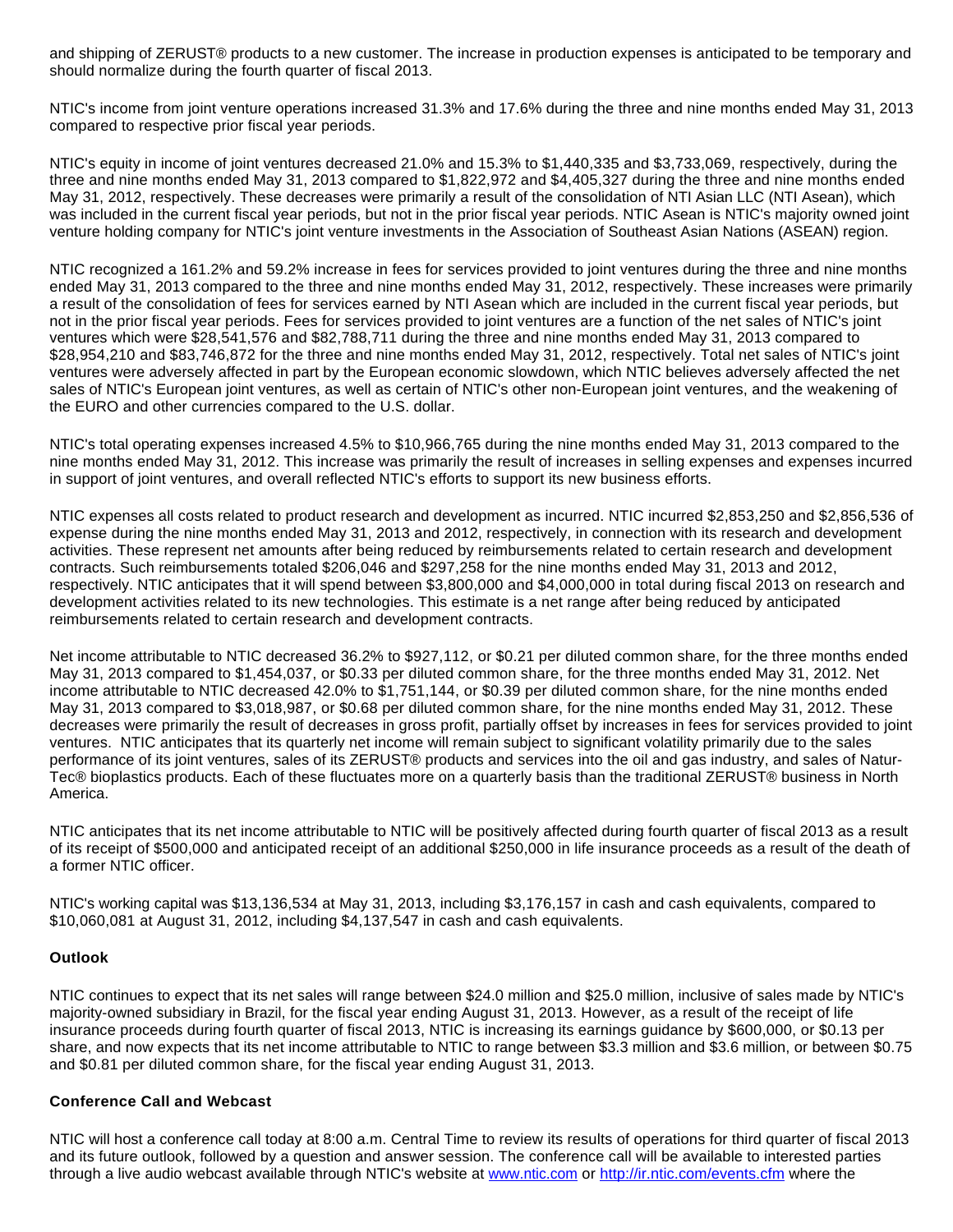and shipping of ZERUST® products to a new customer. The increase in production expenses is anticipated to be temporary and should normalize during the fourth quarter of fiscal 2013.

NTIC's income from joint venture operations increased 31.3% and 17.6% during the three and nine months ended May 31, 2013 compared to respective prior fiscal year periods.

NTIC's equity in income of joint ventures decreased 21.0% and 15.3% to \$1,440,335 and \$3,733,069, respectively, during the three and nine months ended May 31, 2013 compared to \$1,822,972 and \$4,405,327 during the three and nine months ended May 31, 2012, respectively. These decreases were primarily a result of the consolidation of NTI Asian LLC (NTI Asean), which was included in the current fiscal year periods, but not in the prior fiscal year periods. NTIC Asean is NTIC's majority owned joint venture holding company for NTIC's joint venture investments in the Association of Southeast Asian Nations (ASEAN) region.

NTIC recognized a 161.2% and 59.2% increase in fees for services provided to joint ventures during the three and nine months ended May 31, 2013 compared to the three and nine months ended May 31, 2012, respectively. These increases were primarily a result of the consolidation of fees for services earned by NTI Asean which are included in the current fiscal year periods, but not in the prior fiscal year periods. Fees for services provided to joint ventures are a function of the net sales of NTIC's joint ventures which were \$28,541,576 and \$82,788,711 during the three and nine months ended May 31, 2013 compared to \$28,954,210 and \$83,746,872 for the three and nine months ended May 31, 2012, respectively. Total net sales of NTIC's joint ventures were adversely affected in part by the European economic slowdown, which NTIC believes adversely affected the net sales of NTIC's European joint ventures, as well as certain of NTIC's other non-European joint ventures, and the weakening of the EURO and other currencies compared to the U.S. dollar.

NTIC's total operating expenses increased 4.5% to \$10,966,765 during the nine months ended May 31, 2013 compared to the nine months ended May 31, 2012. This increase was primarily the result of increases in selling expenses and expenses incurred in support of joint ventures, and overall reflected NTIC's efforts to support its new business efforts.

NTIC expenses all costs related to product research and development as incurred. NTIC incurred \$2,853,250 and \$2,856,536 of expense during the nine months ended May 31, 2013 and 2012, respectively, in connection with its research and development activities. These represent net amounts after being reduced by reimbursements related to certain research and development contracts. Such reimbursements totaled \$206,046 and \$297,258 for the nine months ended May 31, 2013 and 2012, respectively. NTIC anticipates that it will spend between \$3,800,000 and \$4,000,000 in total during fiscal 2013 on research and development activities related to its new technologies. This estimate is a net range after being reduced by anticipated reimbursements related to certain research and development contracts.

Net income attributable to NTIC decreased 36.2% to \$927,112, or \$0.21 per diluted common share, for the three months ended May 31, 2013 compared to \$1,454,037, or \$0.33 per diluted common share, for the three months ended May 31, 2012. Net income attributable to NTIC decreased 42.0% to \$1,751,144, or \$0.39 per diluted common share, for the nine months ended May 31, 2013 compared to \$3,018,987, or \$0.68 per diluted common share, for the nine months ended May 31, 2012. These decreases were primarily the result of decreases in gross profit, partially offset by increases in fees for services provided to joint ventures. NTIC anticipates that its quarterly net income will remain subject to significant volatility primarily due to the sales performance of its joint ventures, sales of its ZERUST® products and services into the oil and gas industry, and sales of Natur-Tec® bioplastics products. Each of these fluctuates more on a quarterly basis than the traditional ZERUST® business in North America.

NTIC anticipates that its net income attributable to NTIC will be positively affected during fourth quarter of fiscal 2013 as a result of its receipt of \$500,000 and anticipated receipt of an additional \$250,000 in life insurance proceeds as a result of the death of a former NTIC officer.

NTIC's working capital was \$13,136,534 at May 31, 2013, including \$3,176,157 in cash and cash equivalents, compared to \$10,060,081 at August 31, 2012, including \$4,137,547 in cash and cash equivalents.

## **Outlook**

NTIC continues to expect that its net sales will range between \$24.0 million and \$25.0 million, inclusive of sales made by NTIC's majority-owned subsidiary in Brazil, for the fiscal year ending August 31, 2013. However, as a result of the receipt of life insurance proceeds during fourth quarter of fiscal 2013, NTIC is increasing its earnings guidance by \$600,000, or \$0.13 per share, and now expects that its net income attributable to NTIC to range between \$3.3 million and \$3.6 million, or between \$0.75 and \$0.81 per diluted common share, for the fiscal year ending August 31, 2013.

## **Conference Call and Webcast**

NTIC will host a conference call today at 8:00 a.m. Central Time to review its results of operations for third quarter of fiscal 2013 and its future outlook, followed by a question and answer session. The conference call will be available to interested parties through a live audio webcast available through NTIC's website at [www.ntic.com](http://www.globenewswire.com/newsroom/ctr?d=10039670&l=19&a=www.ntic.com&u=http%3A%2F%2Fwww.ntic.com) or [http://ir.ntic.com/events.cfm](http://www.globenewswire.com/newsroom/ctr?d=10039670&l=19&u=http%3A%2F%2Fir.ntic.com%2Fevents.cfm) where the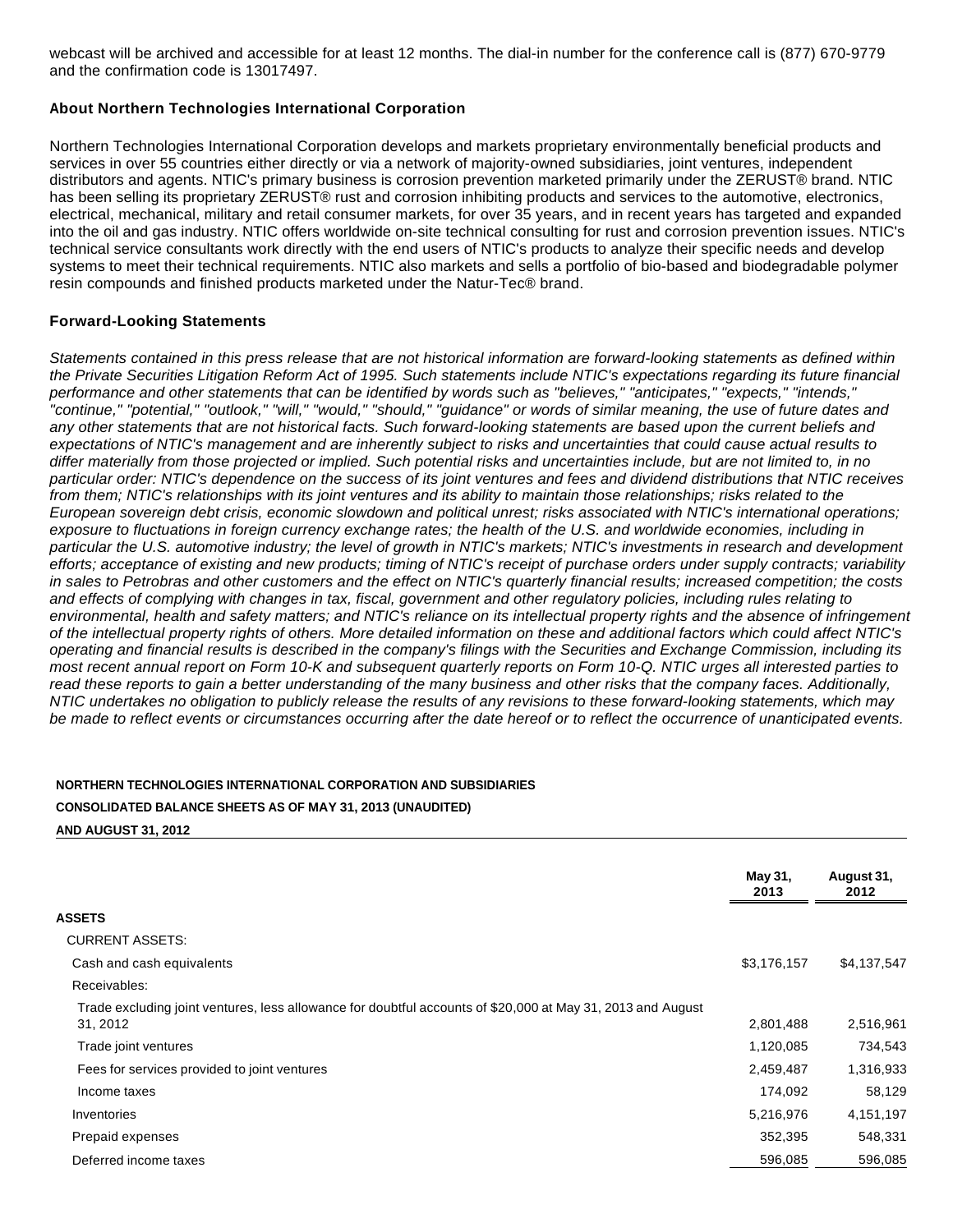webcast will be archived and accessible for at least 12 months. The dial-in number for the conference call is (877) 670-9779 and the confirmation code is 13017497.

### **About Northern Technologies International Corporation**

Northern Technologies International Corporation develops and markets proprietary environmentally beneficial products and services in over 55 countries either directly or via a network of majority-owned subsidiaries, joint ventures, independent distributors and agents. NTIC's primary business is corrosion prevention marketed primarily under the ZERUST® brand. NTIC has been selling its proprietary ZERUST® rust and corrosion inhibiting products and services to the automotive, electronics, electrical, mechanical, military and retail consumer markets, for over 35 years, and in recent years has targeted and expanded into the oil and gas industry. NTIC offers worldwide on-site technical consulting for rust and corrosion prevention issues. NTIC's technical service consultants work directly with the end users of NTIC's products to analyze their specific needs and develop systems to meet their technical requirements. NTIC also markets and sells a portfolio of bio-based and biodegradable polymer resin compounds and finished products marketed under the Natur-Tec® brand.

### **Forward-Looking Statements**

Statements contained in this press release that are not historical information are forward-looking statements as defined within the Private Securities Litigation Reform Act of 1995. Such statements include NTIC's expectations regarding its future financial performance and other statements that can be identified by words such as "believes," "anticipates," "expects," "intends," "continue," "potential," "outlook," "will," "would," "should," "guidance" or words of similar meaning, the use of future dates and any other statements that are not historical facts. Such forward-looking statements are based upon the current beliefs and expectations of NTIC's management and are inherently subject to risks and uncertainties that could cause actual results to differ materially from those projected or implied. Such potential risks and uncertainties include, but are not limited to, in no particular order: NTIC's dependence on the success of its joint ventures and fees and dividend distributions that NTIC receives from them; NTIC's relationships with its joint ventures and its ability to maintain those relationships; risks related to the European sovereign debt crisis, economic slowdown and political unrest; risks associated with NTIC's international operations; exposure to fluctuations in foreign currency exchange rates; the health of the U.S. and worldwide economies, including in particular the U.S. automotive industry; the level of growth in NTIC's markets; NTIC's investments in research and development efforts; acceptance of existing and new products; timing of NTIC's receipt of purchase orders under supply contracts; variability in sales to Petrobras and other customers and the effect on NTIC's quarterly financial results; increased competition; the costs and effects of complying with changes in tax, fiscal, government and other regulatory policies, including rules relating to environmental, health and safety matters; and NTIC's reliance on its intellectual property rights and the absence of infringement of the intellectual property rights of others. More detailed information on these and additional factors which could affect NTIC's operating and financial results is described in the company's filings with the Securities and Exchange Commission, including its most recent annual report on Form 10-K and subsequent quarterly reports on Form 10-Q. NTIC urges all interested parties to read these reports to gain a better understanding of the many business and other risks that the company faces. Additionally, NTIC undertakes no obligation to publicly release the results of any revisions to these forward-looking statements, which may be made to reflect events or circumstances occurring after the date hereof or to reflect the occurrence of unanticipated events.

## **NORTHERN TECHNOLOGIES INTERNATIONAL CORPORATION AND SUBSIDIARIES**

# **CONSOLIDATED BALANCE SHEETS AS OF MAY 31, 2013 (UNAUDITED)**

**AND AUGUST 31, 2012**

|                                                                                                                         | May 31,<br>2013 | August 31,<br>2012 |
|-------------------------------------------------------------------------------------------------------------------------|-----------------|--------------------|
| ASSETS                                                                                                                  |                 |                    |
| <b>CURRENT ASSETS:</b>                                                                                                  |                 |                    |
| Cash and cash equivalents                                                                                               | \$3,176,157     | \$4,137,547        |
| Receivables:                                                                                                            |                 |                    |
| Trade excluding joint ventures, less allowance for doubtful accounts of \$20,000 at May 31, 2013 and August<br>31, 2012 | 2,801,488       | 2,516,961          |
| Trade joint ventures                                                                                                    | 1,120,085       | 734,543            |
| Fees for services provided to joint ventures                                                                            | 2,459,487       | 1,316,933          |
| Income taxes                                                                                                            | 174,092         | 58,129             |
| Inventories                                                                                                             | 5,216,976       | 4,151,197          |
| Prepaid expenses                                                                                                        | 352,395         | 548,331            |
| Deferred income taxes                                                                                                   | 596,085         | 596,085            |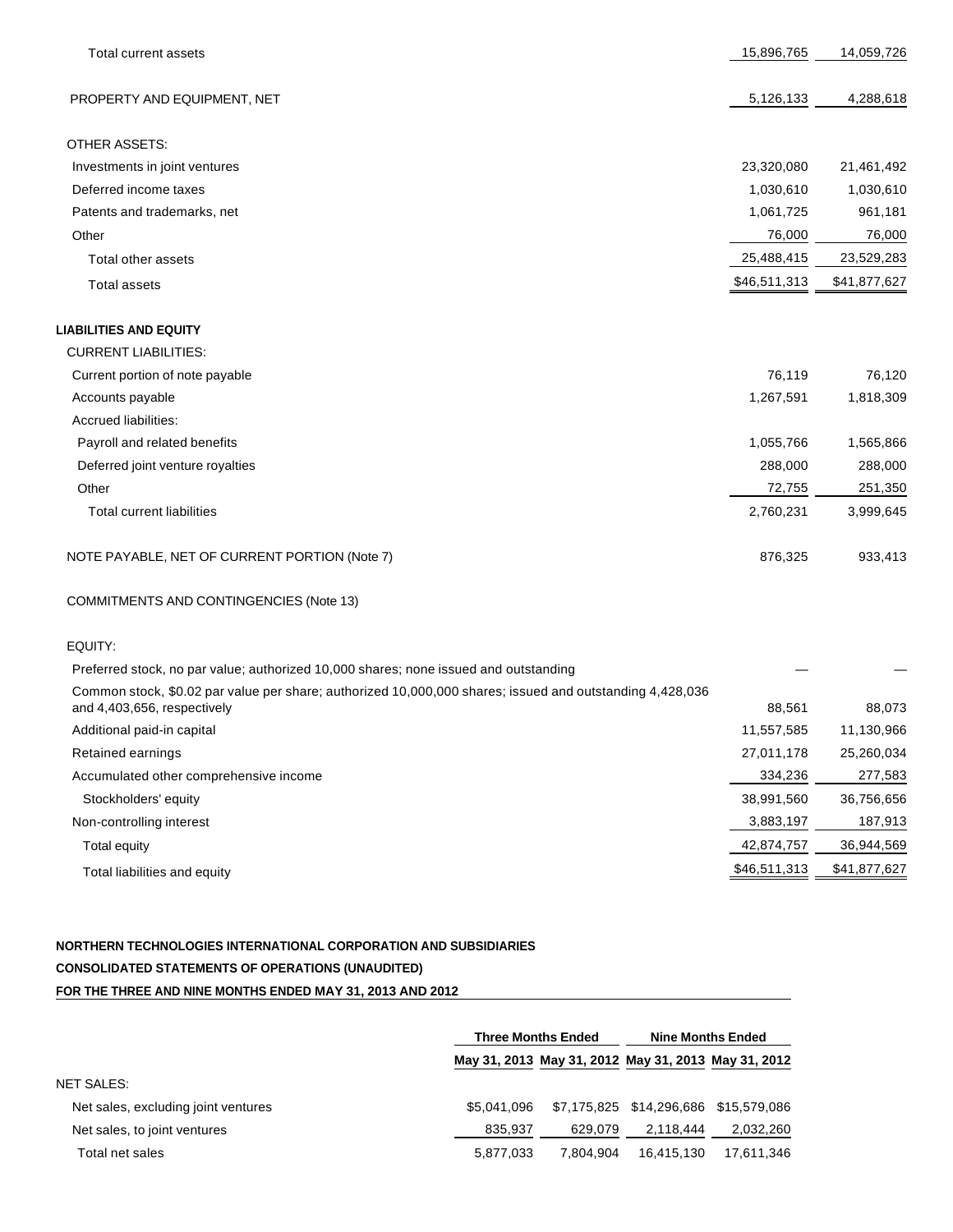| Total current assets                                                                                     | 15,896,765   | 14,059,726   |
|----------------------------------------------------------------------------------------------------------|--------------|--------------|
| PROPERTY AND EQUIPMENT, NET                                                                              | 5,126,133    | 4,288,618    |
| <b>OTHER ASSETS:</b>                                                                                     |              |              |
| Investments in joint ventures                                                                            | 23,320,080   | 21,461,492   |
| Deferred income taxes                                                                                    | 1,030,610    | 1,030,610    |
| Patents and trademarks, net                                                                              | 1,061,725    | 961,181      |
| Other                                                                                                    | 76,000       | 76,000       |
| Total other assets                                                                                       | 25,488,415   | 23,529,283   |
| <b>Total assets</b>                                                                                      | \$46,511,313 | \$41,877,627 |
| <b>LIABILITIES AND EQUITY</b>                                                                            |              |              |
| <b>CURRENT LIABILITIES:</b>                                                                              |              |              |
| Current portion of note payable                                                                          | 76,119       | 76,120       |
| Accounts payable                                                                                         | 1,267,591    | 1,818,309    |
| <b>Accrued liabilities:</b>                                                                              |              |              |
| Payroll and related benefits                                                                             | 1,055,766    | 1,565,866    |
| Deferred joint venture royalties                                                                         | 288,000      | 288,000      |
| Other                                                                                                    | 72,755       | 251,350      |
| <b>Total current liabilities</b>                                                                         | 2,760,231    | 3,999,645    |
| NOTE PAYABLE, NET OF CURRENT PORTION (Note 7)                                                            | 876,325      | 933,413      |
| COMMITMENTS AND CONTINGENCIES (Note 13)                                                                  |              |              |
| EQUITY:                                                                                                  |              |              |
| Preferred stock, no par value; authorized 10,000 shares; none issued and outstanding                     |              |              |
| Common stock, \$0.02 par value per share; authorized 10,000,000 shares; issued and outstanding 4,428,036 |              |              |

| and 4,403,656, respectively            | 88,561       | 88,073       |
|----------------------------------------|--------------|--------------|
| Additional paid-in capital             | 11,557,585   | 11,130,966   |
| Retained earnings                      | 27,011,178   | 25,260,034   |
| Accumulated other comprehensive income | 334,236      | 277,583      |
| Stockholders' equity                   | 38,991,560   | 36,756,656   |
| Non-controlling interest               | 3,883,197    | 187,913      |
| Total equity                           | 42,874,757   | 36,944,569   |
| Total liabilities and equity           | \$46,511,313 | \$41,877,627 |
|                                        |              |              |

# **NORTHERN TECHNOLOGIES INTERNATIONAL CORPORATION AND SUBSIDIARIES CONSOLIDATED STATEMENTS OF OPERATIONS (UNAUDITED) FOR THE THREE AND NINE MONTHS ENDED MAY 31, 2013 AND 2012**

|                                     | <b>Three Months Ended</b> |                                                     | <b>Nine Months Ended</b>              |            |
|-------------------------------------|---------------------------|-----------------------------------------------------|---------------------------------------|------------|
|                                     |                           | May 31, 2013 May 31, 2012 May 31, 2013 May 31, 2012 |                                       |            |
| <b>NET SALES:</b>                   |                           |                                                     |                                       |            |
| Net sales, excluding joint ventures | \$5.041.096               |                                                     | \$7,175,825 \$14,296,686 \$15,579,086 |            |
| Net sales, to joint ventures        | 835.937                   | 629.079                                             | 2,118,444                             | 2,032,260  |
| Total net sales                     | 5.877.033                 | 7.804.904                                           | 16.415.130                            | 17.611.346 |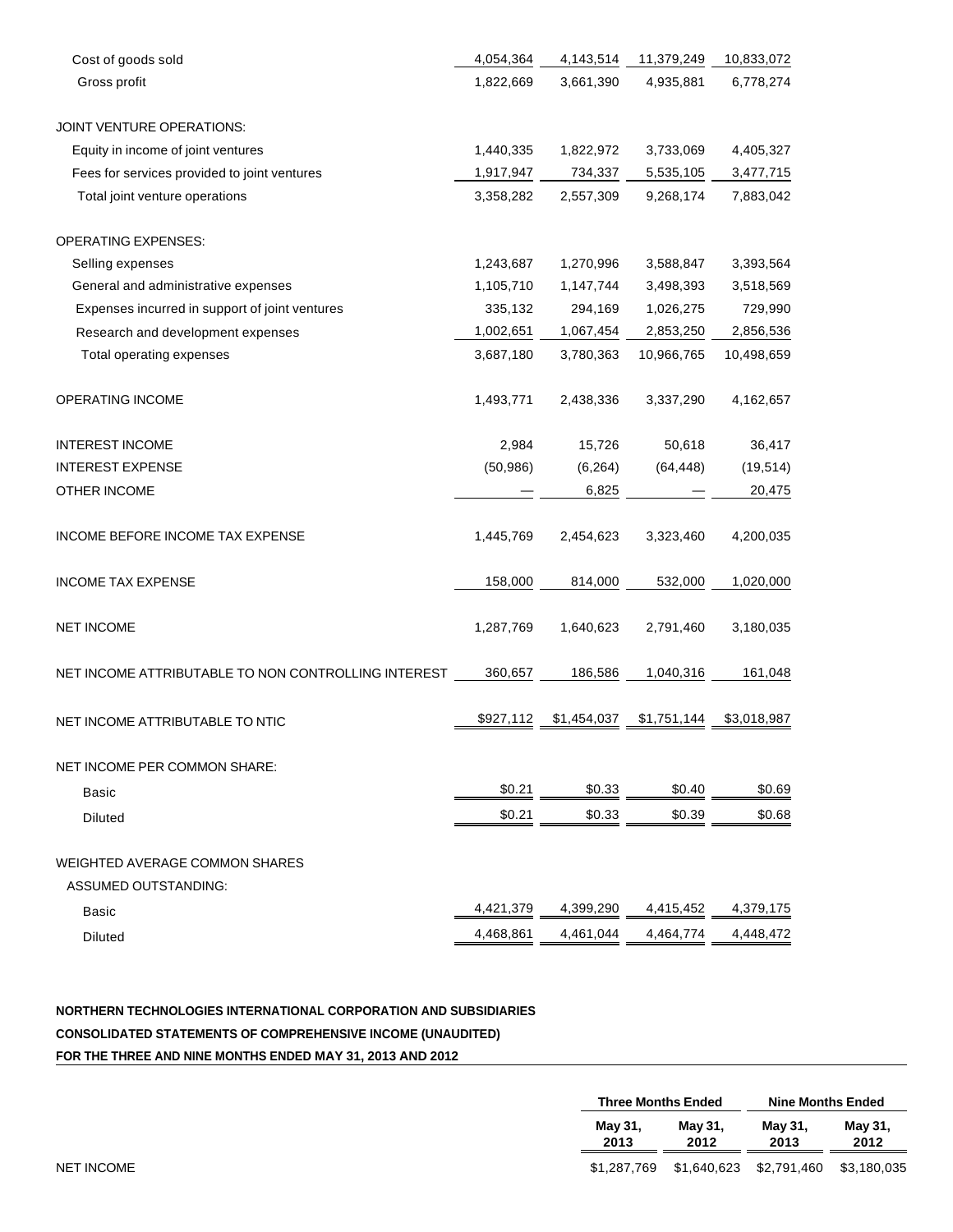| Cost of goods sold                                  | 4,054,364 | 4,143,514   | 11,379,249  | 10,833,072  |
|-----------------------------------------------------|-----------|-------------|-------------|-------------|
| Gross profit                                        | 1,822,669 | 3,661,390   | 4,935,881   | 6,778,274   |
| JOINT VENTURE OPERATIONS:                           |           |             |             |             |
| Equity in income of joint ventures                  | 1,440,335 | 1,822,972   | 3,733,069   | 4,405,327   |
| Fees for services provided to joint ventures        | 1,917,947 | 734,337     | 5,535,105   | 3,477,715   |
| Total joint venture operations                      | 3,358,282 | 2,557,309   | 9,268,174   | 7,883,042   |
| <b>OPERATING EXPENSES:</b>                          |           |             |             |             |
| Selling expenses                                    | 1,243,687 | 1,270,996   | 3,588,847   | 3,393,564   |
| General and administrative expenses                 | 1,105,710 | 1,147,744   | 3,498,393   | 3,518,569   |
| Expenses incurred in support of joint ventures      | 335,132   | 294,169     | 1,026,275   | 729,990     |
| Research and development expenses                   | 1,002,651 | 1,067,454   | 2,853,250   | 2,856,536   |
| Total operating expenses                            | 3,687,180 | 3,780,363   | 10,966,765  | 10,498,659  |
| OPERATING INCOME                                    | 1,493,771 | 2,438,336   | 3,337,290   | 4,162,657   |
| <b>INTEREST INCOME</b>                              | 2,984     | 15,726      | 50,618      | 36,417      |
| <b>INTEREST EXPENSE</b>                             | (50, 986) | (6, 264)    | (64, 448)   | (19, 514)   |
| OTHER INCOME                                        |           | 6,825       |             | 20,475      |
| INCOME BEFORE INCOME TAX EXPENSE                    | 1,445,769 | 2,454,623   | 3,323,460   | 4,200,035   |
| <b>INCOME TAX EXPENSE</b>                           | 158,000   | 814,000     | 532,000     | 1,020,000   |
| <b>NET INCOME</b>                                   | 1,287,769 | 1,640,623   | 2,791,460   | 3,180,035   |
| NET INCOME ATTRIBUTABLE TO NON CONTROLLING INTEREST | 360,657   | 186,586     | 1,040,316   | 161,048     |
| NET INCOME ATTRIBUTABLE TO NTIC                     | \$927,112 | \$1,454,037 | \$1,751,144 | \$3,018,987 |
| NET INCOME PER COMMON SHARE:                        |           |             |             |             |
| Basic                                               | \$0.21    | \$0.33      | \$0.40      | \$0.69      |
| <b>Diluted</b>                                      | \$0.21    | \$0.33      | \$0.39      | \$0.68      |
| WEIGHTED AVERAGE COMMON SHARES                      |           |             |             |             |
| ASSUMED OUTSTANDING:                                |           |             |             |             |
| Basic                                               | 4,421,379 | 4,399,290   | 4,415,452   | 4,379,175   |
| <b>Diluted</b>                                      | 4,468,861 | 4,461,044   | 4,464,774   | 4,448,472   |
|                                                     |           |             |             |             |

**NORTHERN TECHNOLOGIES INTERNATIONAL CORPORATION AND SUBSIDIARIES CONSOLIDATED STATEMENTS OF COMPREHENSIVE INCOME (UNAUDITED) FOR THE THREE AND NINE MONTHS ENDED MAY 31, 2013 AND 2012**

|                 | <b>Three Months Ended</b> |                         | <b>Nine Months Ended</b> |  |
|-----------------|---------------------------|-------------------------|--------------------------|--|
| May 31,<br>2013 | Mav 31.<br>2012           | Mav 31.<br>2013         | May 31,<br>2012          |  |
| \$1.287.769     |                           | \$1,640,623 \$2,791,460 | \$3,180,035              |  |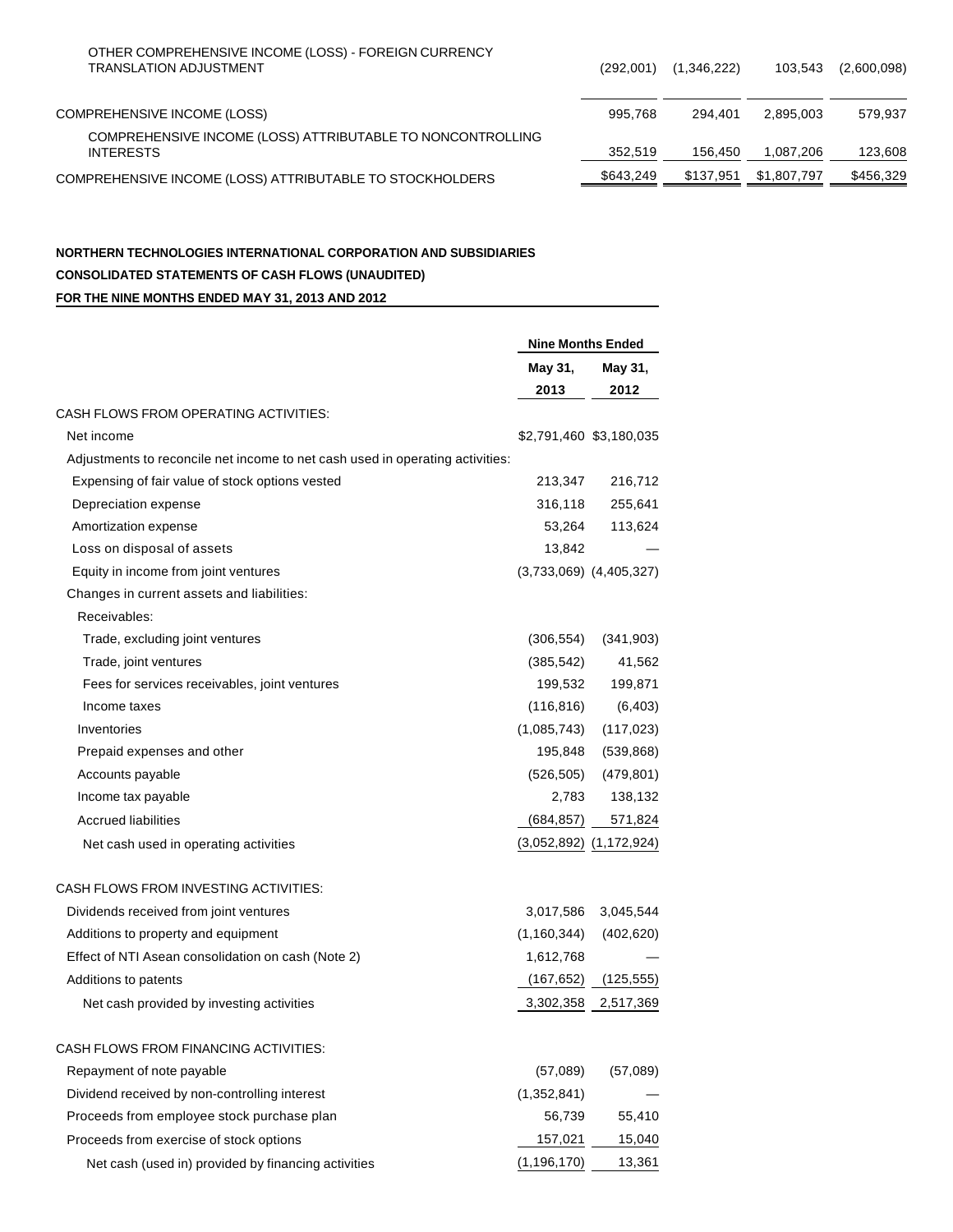| OTHER COMPREHENSIVE INCOME (LOSS) - FOREIGN CURRENCY<br><b>TRANSLATION ADJUSTMENT</b> | (292,001) | (1,346,222) | 103,543     | (2,600,098) |
|---------------------------------------------------------------------------------------|-----------|-------------|-------------|-------------|
| <b>COMPREHENSIVE INCOME (LOSS)</b>                                                    | 995.768   | 294.401     | 2.895.003   | 579.937     |
| COMPREHENSIVE INCOME (LOSS) ATTRIBUTABLE TO NONCONTROLLING<br><b>INTERESTS</b>        | 352,519   | 156.450     | 1.087.206   | 123,608     |
| COMPREHENSIVE INCOME (LOSS) ATTRIBUTABLE TO STOCKHOLDERS                              | \$643,249 | \$137.951   | \$1,807,797 | \$456.329   |

## **NORTHERN TECHNOLOGIES INTERNATIONAL CORPORATION AND SUBSIDIARIES CONSOLIDATED STATEMENTS OF CASH FLOWS (UNAUDITED) FOR THE NINE MONTHS ENDED MAY 31, 2013 AND 2012**

|                                                                               | <b>Nine Months Ended</b> |                             |  |
|-------------------------------------------------------------------------------|--------------------------|-----------------------------|--|
|                                                                               | May 31,                  | May 31,                     |  |
|                                                                               | 2013                     | 2012                        |  |
| CASH FLOWS FROM OPERATING ACTIVITIES:                                         |                          |                             |  |
| Net income                                                                    |                          | \$2,791,460 \$3,180,035     |  |
| Adjustments to reconcile net income to net cash used in operating activities: |                          |                             |  |
| Expensing of fair value of stock options vested                               | 213,347                  | 216,712                     |  |
| Depreciation expense                                                          | 316,118                  | 255,641                     |  |
| Amortization expense                                                          | 53,264                   | 113,624                     |  |
| Loss on disposal of assets                                                    | 13,842                   |                             |  |
| Equity in income from joint ventures                                          |                          | $(3,733,069)$ $(4,405,327)$ |  |
| Changes in current assets and liabilities:                                    |                          |                             |  |
| Receivables:                                                                  |                          |                             |  |
| Trade, excluding joint ventures                                               | (306, 554)               | (341, 903)                  |  |
| Trade, joint ventures                                                         | (385, 542)               | 41,562                      |  |
| Fees for services receivables, joint ventures                                 | 199,532                  | 199,871                     |  |
| Income taxes                                                                  | (116, 816)               | (6, 403)                    |  |
| Inventories                                                                   | (1,085,743)              | (117, 023)                  |  |
| Prepaid expenses and other                                                    | 195,848                  | (539, 868)                  |  |
| Accounts payable                                                              | (526, 505)               | (479, 801)                  |  |
| Income tax payable                                                            | 2,783                    | 138,132                     |  |
| <b>Accrued liabilities</b>                                                    | (684, 857)               | 571,824                     |  |
| Net cash used in operating activities                                         |                          | $(3,052,892)$ $(1,172,924)$ |  |
| CASH FLOWS FROM INVESTING ACTIVITIES:                                         |                          |                             |  |
| Dividends received from joint ventures                                        | 3,017,586                | 3,045,544                   |  |
| Additions to property and equipment                                           | (1, 160, 344)            | (402, 620)                  |  |
| Effect of NTI Asean consolidation on cash (Note 2)                            | 1,612,768                |                             |  |
| Additions to patents                                                          | (167, 652)               | (125, 555)                  |  |
| Net cash provided by investing activities                                     | 3,302,358                | 2,517,369                   |  |
| CASH FLOWS FROM FINANCING ACTIVITIES:                                         |                          |                             |  |
| Repayment of note payable                                                     | (57,089)                 | (57,089)                    |  |
| Dividend received by non-controlling interest                                 | (1,352,841)              |                             |  |
| Proceeds from employee stock purchase plan                                    | 56,739                   | 55,410                      |  |
| Proceeds from exercise of stock options                                       | 157,021                  | 15,040                      |  |
| Net cash (used in) provided by financing activities                           | (1, 196, 170)            | 13,361                      |  |